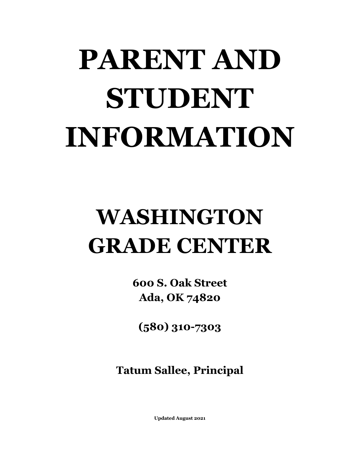# **PARENT AND STUDENT INFORMATION**

# **WASHINGTON GRADE CENTER**

**600 S. Oak Street Ada, OK 74820**

**(580) 310-7303**

**Tatum Sallee, Principal**

 **Updated August 2021**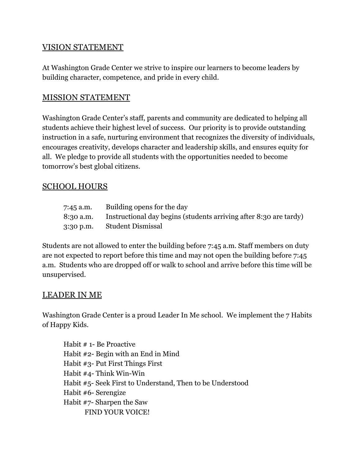#### VISION STATEMENT

At Washington Grade Center we strive to inspire our learners to become leaders by building character, competence, and pride in every child.

#### MISSION STATEMENT

Washington Grade Center's staff, parents and community are dedicated to helping all students achieve their highest level of success. Our priority is to provide outstanding instruction in a safe, nurturing environment that recognizes the diversity of individuals, encourages creativity, develops character and leadership skills, and ensures equity for all. We pledge to provide all students with the opportunities needed to become tomorrow's best global citizens.

#### SCHOOL HOURS

| 7:45 a.m. | Building opens for the day                                        |
|-----------|-------------------------------------------------------------------|
| 8:30 a.m. | Instructional day begins (students arriving after 8:30 are tardy) |
| 3:30 p.m. | <b>Student Dismissal</b>                                          |

Students are not allowed to enter the building before 7:45 a.m. Staff members on duty are not expected to report before this time and may not open the building before 7:45 a.m. Students who are dropped off or walk to school and arrive before this time will be unsupervised.

#### LEADER IN ME

Washington Grade Center is a proud Leader In Me school. We implement the 7 Habits of Happy Kids.

Habit # 1- Be Proactive Habit #2- Begin with an End in Mind Habit #3- Put First Things First Habit #4- Think Win-Win Habit #5- Seek First to Understand, Then to be Understood Habit #6- Serengize Habit #7- Sharpen the Saw FIND YOUR VOICE!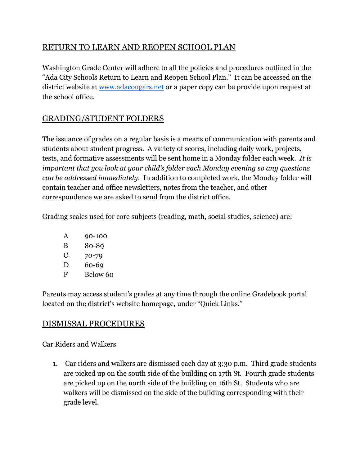## RETURN TO LEARN AND REOPEN SCHOOL PLAN

Washington Grade Center will adhere to all the policies and procedures outlined in the "Ada City Schools Return to Learn and Reopen School Plan." It can be accessed on the district website at [www.adacougars.net](http://www.adacougars.net) or a paper copy can be provide upon request at the school office.

# GRADING/STUDENT FOLDERS

The issuance of grades on a regular basis is a means of communication with parents and students about student progress. A variety of scores, including daily work, projects, tests, and formative assessments will be sent home in a Monday folder each week. *It is important that you look at your child's folder each Monday evening so any questions can be addressed immediately.* In addition to completed work, the Monday folder will contain teacher and office newsletters, notes from the teacher, and other correspondence we are asked to send from the district office.

Grading scales used for core subjects (reading, math, social studies, science) are:

- A 90-100
- B 80-89
- C 70-79
- D 60-69
- F Below 60

Parents may access student's grades at any time through the online Gradebook portal located on the district's website homepage, under "Quick Links."

### DISMISSAL PROCEDURES

Car Riders and Walkers

1. Car riders and walkers are dismissed each day at 3:30 p.m. Third grade students are picked up on the south side of the building on 17th St. Fourth grade students are picked up on the north side of the building on 16th St. Students who are walkers will be dismissed on the side of the building corresponding with their grade level.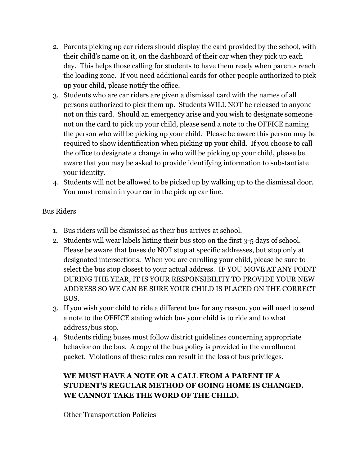- 2. Parents picking up car riders should display the card provided by the school, with their child's name on it, on the dashboard of their car when they pick up each day. This helps those calling for students to have them ready when parents reach the loading zone. If you need additional cards for other people authorized to pick up your child, please notify the office.
- 3. Students who are car riders are given a dismissal card with the names of all persons authorized to pick them up. Students WILL NOT be released to anyone not on this card. Should an emergency arise and you wish to designate someone not on the card to pick up your child, please send a note to the OFFICE naming the person who will be picking up your child. Please be aware this person may be required to show identification when picking up your child. If you choose to call the office to designate a change in who will be picking up your child, please be aware that you may be asked to provide identifying information to substantiate your identity.
- 4. Students will not be allowed to be picked up by walking up to the dismissal door. You must remain in your car in the pick up car line.

#### Bus Riders

- 1. Bus riders will be dismissed as their bus arrives at school.
- 2. Students will wear labels listing their bus stop on the first 3-5 days of school. Please be aware that buses do NOT stop at specific addresses, but stop only at designated intersections. When you are enrolling your child, please be sure to select the bus stop closest to your actual address. IF YOU MOVE AT ANY POINT DURING THE YEAR, IT IS YOUR RESPONSIBILITY TO PROVIDE YOUR NEW ADDRESS SO WE CAN BE SURE YOUR CHILD IS PLACED ON THE CORRECT BUS.
- 3. If you wish your child to ride a different bus for any reason, you will need to send a note to the OFFICE stating which bus your child is to ride and to what address/bus stop.
- 4. Students riding buses must follow district guidelines concerning appropriate behavior on the bus. A copy of the bus policy is provided in the enrollment packet. Violations of these rules can result in the loss of bus privileges.

#### **WE MUST HAVE A NOTE OR A CALL FROM A PARENT IF A STUDENT'S REGULAR METHOD OF GOING HOME IS CHANGED. WE CANNOT TAKE THE WORD OF THE CHILD.**

Other Transportation Policies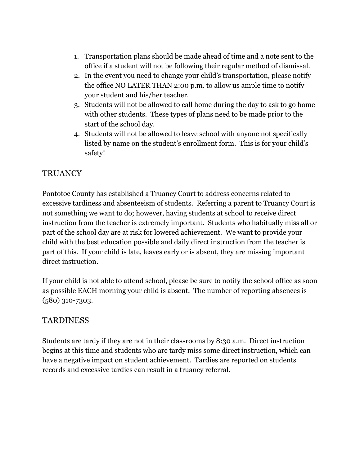- 1. Transportation plans should be made ahead of time and a note sent to the office if a student will not be following their regular method of dismissal.
- 2. In the event you need to change your child's transportation, please notify the office NO LATER THAN 2:00 p.m. to allow us ample time to notify your student and his/her teacher.
- 3. Students will not be allowed to call home during the day to ask to go home with other students. These types of plans need to be made prior to the start of the school day.
- 4. Students will not be allowed to leave school with anyone not specifically listed by name on the student's enrollment form. This is for your child's safety!

# **TRUANCY**

Pontotoc County has established a Truancy Court to address concerns related to excessive tardiness and absenteeism of students. Referring a parent to Truancy Court is not something we want to do; however, having students at school to receive direct instruction from the teacher is extremely important. Students who habitually miss all or part of the school day are at risk for lowered achievement. We want to provide your child with the best education possible and daily direct instruction from the teacher is part of this. If your child is late, leaves early or is absent, they are missing important direct instruction.

If your child is not able to attend school, please be sure to notify the school office as soon as possible EACH morning your child is absent. The number of reporting absences is (580) 310-7303.

#### TARDINESS

Students are tardy if they are not in their classrooms by 8:30 a.m. Direct instruction begins at this time and students who are tardy miss some direct instruction, which can have a negative impact on student achievement. Tardies are reported on students records and excessive tardies can result in a truancy referral.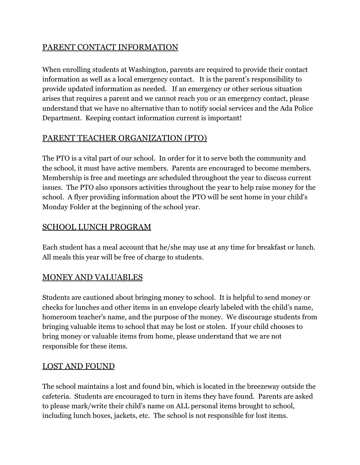#### PARENT CONTACT INFORMATION

When enrolling students at Washington, parents are required to provide their contact information as well as a local emergency contact. It is the parent's responsibility to provide updated information as needed. If an emergency or other serious situation arises that requires a parent and we cannot reach you or an emergency contact, please understand that we have no alternative than to notify social services and the Ada Police Department. Keeping contact information current is important!

#### PARENT TEACHER ORGANIZATION (PTO)

The PTO is a vital part of our school. In order for it to serve both the community and the school, it must have active members. Parents are encouraged to become members. Membership is free and meetings are scheduled throughout the year to discuss current issues. The PTO also sponsors activities throughout the year to help raise money for the school. A flyer providing information about the PTO will be sent home in your child's Monday Folder at the beginning of the school year.

#### SCHOOL LUNCH PROGRAM

Each student has a meal account that he/she may use at any time for breakfast or lunch. All meals this year will be free of charge to students.

#### MONEY AND VALUABLES

Students are cautioned about bringing money to school. It is helpful to send money or checks for lunches and other items in an envelope clearly labeled with the child's name, homeroom teacher's name, and the purpose of the money. We discourage students from bringing valuable items to school that may be lost or stolen. If your child chooses to bring money or valuable items from home, please understand that we are not responsible for these items.

#### LOST AND FOUND

The school maintains a lost and found bin, which is located in the breezeway outside the cafeteria. Students are encouraged to turn in items they have found. Parents are asked to please mark/write their child's name on ALL personal items brought to school, including lunch boxes, jackets, etc. The school is not responsible for lost items.